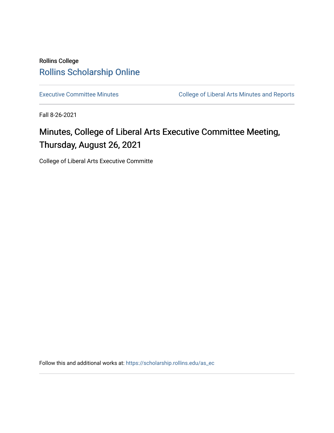### Rollins College [Rollins Scholarship Online](https://scholarship.rollins.edu/)

[Executive Committee Minutes](https://scholarship.rollins.edu/as_ec) **College of Liberal Arts Minutes and Reports** 

Fall 8-26-2021

# Minutes, College of Liberal Arts Executive Committee Meeting, Thursday, August 26, 2021

College of Liberal Arts Executive Committe

Follow this and additional works at: [https://scholarship.rollins.edu/as\\_ec](https://scholarship.rollins.edu/as_ec?utm_source=scholarship.rollins.edu%2Fas_ec%2F229&utm_medium=PDF&utm_campaign=PDFCoverPages)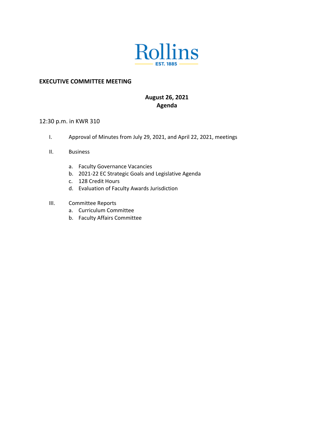

#### **EXECUTIVE COMMITTEE MEETING**

### **August 26, 2021 Agenda**

#### 12:30 p.m. in KWR 310

- I. Approval of Minutes from July 29, 2021, and April 22, 2021, meetings
- II. Business
	- a. Faculty Governance Vacancies
	- b. 2021-22 EC Strategic Goals and Legislative Agenda
	- c. 128 Credit Hours
	- d. Evaluation of Faculty Awards Jurisdiction
- III. Committee Reports
	- a. Curriculum Committee
	- b. Faculty Affairs Committee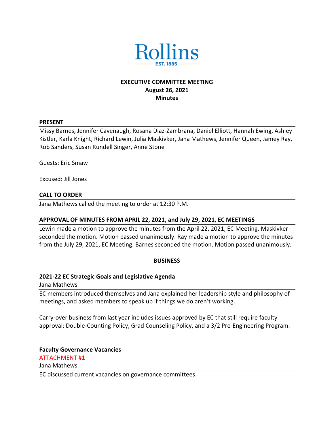

### **EXECUTIVE COMMITTEE MEETING August 26, 2021 Minutes**

#### **PRESENT**

Missy Barnes, Jennifer Cavenaugh, Rosana Diaz-Zambrana, Daniel Elliott, Hannah Ewing, Ashley Kistler, Karla Knight, Richard Lewin, Julia Maskivker, Jana Mathews, Jennifer Queen, Jamey Ray, Rob Sanders, Susan Rundell Singer, Anne Stone

Guests: Eric Smaw

Excused: Jill Jones

#### **CALL TO ORDER**

Jana Mathews called the meeting to order at 12:30 P.M.

#### **APPROVAL OF MINUTES FROM APRIL 22, 2021, and July 29, 2021, EC MEETINGS**

Lewin made a motion to approve the minutes from the April 22, 2021, EC Meeting. Maskivker seconded the motion. Motion passed unanimously. Ray made a motion to approve the minutes from the July 29, 2021, EC Meeting. Barnes seconded the motion. Motion passed unanimously.

#### **BUSINESS**

#### **2021-22 EC Strategic Goals and Legislative Agenda**

Jana Mathews

EC members introduced themselves and Jana explained her leadership style and philosophy of meetings, and asked members to speak up if things we do aren't working.

Carry-over business from last year includes issues approved by EC that still require faculty approval: Double-Counting Policy, Grad Counseling Policy, and a 3/2 Pre-Engineering Program.

**Faculty Governance Vacancies** ATTACHMENT #1 Jana Mathews EC discussed current vacancies on governance committees.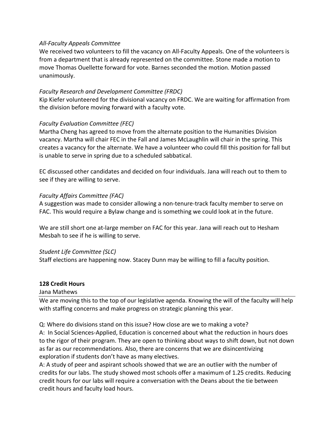#### *All-Faculty Appeals Committee*

We received two volunteers to fill the vacancy on All-Faculty Appeals. One of the volunteers is from a department that is already represented on the committee. Stone made a motion to move Thomas Ouellette forward for vote. Barnes seconded the motion. Motion passed unanimously.

#### *Faculty Research and Development Committee (FRDC)*

Kip Kiefer volunteered for the divisional vacancy on FRDC. We are waiting for affirmation from the division before moving forward with a faculty vote.

#### *Faculty Evaluation Committee (FEC)*

Martha Cheng has agreed to move from the alternate position to the Humanities Division vacancy. Martha will chair FEC in the Fall and James McLaughlin will chair in the spring. This creates a vacancy for the alternate. We have a volunteer who could fill this position for fall but is unable to serve in spring due to a scheduled sabbatical.

EC discussed other candidates and decided on four individuals. Jana will reach out to them to see if they are willing to serve.

#### *Faculty Affairs Committee (FAC)*

A suggestion was made to consider allowing a non-tenure-track faculty member to serve on FAC. This would require a Bylaw change and is something we could look at in the future.

We are still short one at-large member on FAC for this year. Jana will reach out to Hesham Mesbah to see if he is willing to serve.

#### *Student Life Committee (SLC)*

Staff elections are happening now. Stacey Dunn may be willing to fill a faculty position.

#### **128 Credit Hours**

#### Jana Mathews

We are moving this to the top of our legislative agenda. Knowing the will of the faculty will help with staffing concerns and make progress on strategic planning this year.

Q: Where do divisions stand on this issue? How close are we to making a vote?

A: In Social Sciences-Applied, Education is concerned about what the reduction in hours does to the rigor of their program. They are open to thinking about ways to shift down, but not down as far as our recommendations. Also, there are concerns that we are disincentivizing exploration if students don't have as many electives.

A: A study of peer and aspirant schools showed that we are an outlier with the number of credits for our labs. The study showed most schools offer a maximum of 1.25 credits. Reducing credit hours for our labs will require a conversation with the Deans about the tie between credit hours and faculty load hours.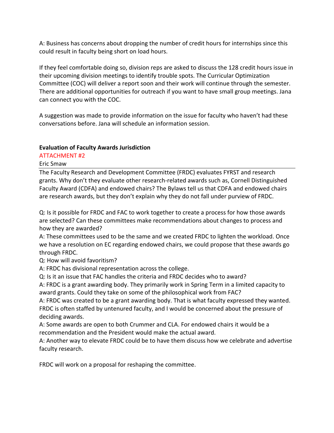A: Business has concerns about dropping the number of credit hours for internships since this could result in faculty being short on load hours.

If they feel comfortable doing so, division reps are asked to discuss the 128 credit hours issue in their upcoming division meetings to identify trouble spots. The Curricular Optimization Committee (COC) will deliver a report soon and their work will continue through the semester. There are additional opportunities for outreach if you want to have small group meetings. Jana can connect you with the COC.

A suggestion was made to provide information on the issue for faculty who haven't had these conversations before. Jana will schedule an information session.

#### **Evaluation of Faculty Awards Jurisdiction**

ATTACHMENT #2

Eric Smaw

The Faculty Research and Development Committee (FRDC) evaluates FYRST and research grants. Why don't they evaluate other research-related awards such as, Cornell Distinguished Faculty Award (CDFA) and endowed chairs? The Bylaws tell us that CDFA and endowed chairs are research awards, but they don't explain why they do not fall under purview of FRDC.

Q: Is it possible for FRDC and FAC to work together to create a process for how those awards are selected? Can these committees make recommendations about changes to process and how they are awarded?

A: These committees used to be the same and we created FRDC to lighten the workload. Once we have a resolution on EC regarding endowed chairs, we could propose that these awards go through FRDC.

Q: How will avoid favoritism?

A: FRDC has divisional representation across the college.

Q: Is it an issue that FAC handles the criteria and FRDC decides who to award?

A: FRDC is a grant awarding body. They primarily work in Spring Term in a limited capacity to award grants. Could they take on some of the philosophical work from FAC?

A: FRDC was created to be a grant awarding body. That is what faculty expressed they wanted. FRDC is often staffed by untenured faculty, and I would be concerned about the pressure of deciding awards.

A: Some awards are open to both Crummer and CLA. For endowed chairs it would be a recommendation and the President would make the actual award.

A: Another way to elevate FRDC could be to have them discuss how we celebrate and advertise faculty research.

FRDC will work on a proposal for reshaping the committee.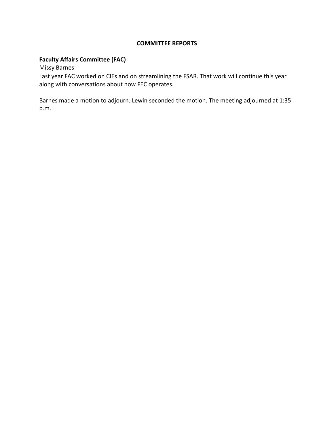#### **COMMITTEE REPORTS**

#### **Faculty Affairs Committee (FAC)**

Missy Barnes

Last year FAC worked on CIEs and on streamlining the FSAR. That work will continue this year along with conversations about how FEC operates.

Barnes made a motion to adjourn. Lewin seconded the motion. The meeting adjourned at 1:35 p.m.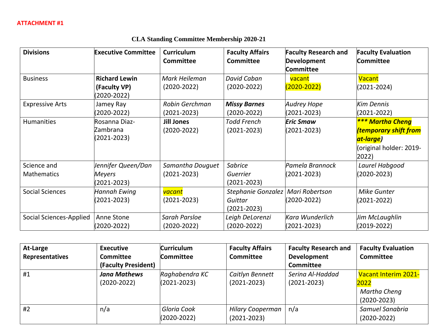#### **Divisions Executive Committee Curriculum Committee Faculty Affairs Committee Faculty Research and Development Committee Faculty Evaluation Committee** Business **Richard Lewin (Faculty VP)** (2020-2022) *Mark Heileman* (2020-2022) *David Caban* (2020-2022) vacant (2020-2022) **Vacant** (2021-2024) Expressive Arts Jamey Ray (2020-2022) *Robin Gerchman* (2021-2023) *Missy Barnes* (2020-2022) *Audrey Hope* (2021-2023) *Kim Dennis* (2021-2022) Humanities Rosanna Diaz-Zambrana (2021-2023) **Jill Jones** (2020-2022) *Todd French* (2021-2023) *Eric Smaw* (2021-2023) *\*\*\* Martha Cheng (temporary shift from at-large)* (original holder: 2019- 2022) Science and Mathematics *Jennifer Queen/Dan Meyers* (2021-2023) *Samantha Douguet* (2021-2023) *Sabrice Guerrier* (2021-2023) *Pamela Brannock* (2021-2023) *Laurel Habgood* (2020-2023) Social Sciences *Hannah Ewing* (2021-2023) *vacant* (2021-2023) *Stephanie Gonzalez Mari Robertson Guittar* (2021-2023) (2020-2022) *Mike Gunter* (2021-2022) Social Sciences-Applied | Anne Stone (2020-2022) *Sarah Parsloe* (2020-2022) *Leigh DeLorenzi* (2020-2022) *Kara Wunderlich* (2021-2023) *Jim McLaughlin* (2019-2022)

|  |  |  | <b>CLA Standing Committee Membership 2020-21</b> |  |
|--|--|--|--------------------------------------------------|--|
|--|--|--|--------------------------------------------------|--|

| At-Large        | <b>Executive</b>    | <b>Curriculum</b> | <b>Faculty Affairs</b>  | <b>Faculty Research and</b> | <b>Faculty Evaluation</b> |
|-----------------|---------------------|-------------------|-------------------------|-----------------------------|---------------------------|
| Representatives | <b>Committee</b>    | Committee         | <b>Committee</b>        | <b>Development</b>          | <b>Committee</b>          |
|                 | (Faculty President) |                   |                         | <b>Committee</b>            |                           |
| #1              | <b>Jana Mathews</b> | Raghabendra KC    | Caitlyn Bennett         | Serina Al-Haddad            | Vacant Interim 2021-      |
|                 | $(2020 - 2022)$     | $(2021 - 2023)$   | $(2021 - 2023)$         | $(2021 - 2023)$             | 2022                      |
|                 |                     |                   |                         |                             | Martha Cheng              |
|                 |                     |                   |                         |                             | $(2020 - 2023)$           |
| #2              | n/a                 | Gloria Cook       | <b>Hilary Cooperman</b> | n/a                         | Samuel Sanabria           |
|                 |                     | $(2020 - 2022)$   | $(2021 - 2023)$         |                             | $(2020 - 2022)$           |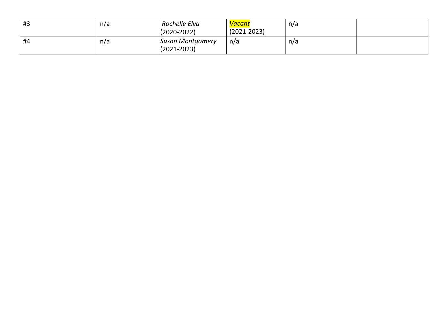| #3 | n/a | Rochelle Elva<br>(2020-2022)               | <u>Vacant</u><br>$(2021 - 2023)$ | n/a |  |
|----|-----|--------------------------------------------|----------------------------------|-----|--|
| #4 | n/a | <b>Susan Montgomery</b><br>$(2021 - 2023)$ | n/a                              | n/a |  |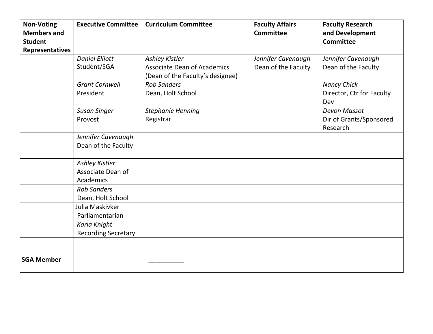| <b>Non-Voting</b><br><b>Members and</b><br><b>Student</b><br>Representatives | <b>Executive Committee</b>                              | <b>Curriculum Committee</b>                                                              | <b>Faculty Affairs</b><br>Committee       | <b>Faculty Research</b><br>and Development<br><b>Committee</b> |
|------------------------------------------------------------------------------|---------------------------------------------------------|------------------------------------------------------------------------------------------|-------------------------------------------|----------------------------------------------------------------|
|                                                                              | <b>Daniel Elliott</b><br>Student/SGA                    | <b>Ashley Kistler</b><br>Associate Dean of Academics<br>(Dean of the Faculty's designee) | Jennifer Cavenaugh<br>Dean of the Faculty | Jennifer Cavenaugh<br>Dean of the Faculty                      |
|                                                                              | <b>Grant Cornwell</b><br>President                      | <b>Rob Sanders</b><br>Dean, Holt School                                                  |                                           | <b>Nancy Chick</b><br>Director, Ctr for Faculty<br>Dev         |
|                                                                              | <b>Susan Singer</b><br>Provost                          | Stephanie Henning<br>Registrar                                                           |                                           | <b>Devon Massot</b><br>Dir of Grants/Sponsored<br>Research     |
|                                                                              | Jennifer Cavenaugh<br>Dean of the Faculty               |                                                                                          |                                           |                                                                |
|                                                                              | <b>Ashley Kistler</b><br>Associate Dean of<br>Academics |                                                                                          |                                           |                                                                |
|                                                                              | <b>Rob Sanders</b><br>Dean, Holt School                 |                                                                                          |                                           |                                                                |
|                                                                              | Julia Maskivker<br>Parliamentarian                      |                                                                                          |                                           |                                                                |
|                                                                              | Karla Knight<br><b>Recording Secretary</b>              |                                                                                          |                                           |                                                                |
|                                                                              |                                                         |                                                                                          |                                           |                                                                |
| <b>SGA Member</b>                                                            |                                                         |                                                                                          |                                           |                                                                |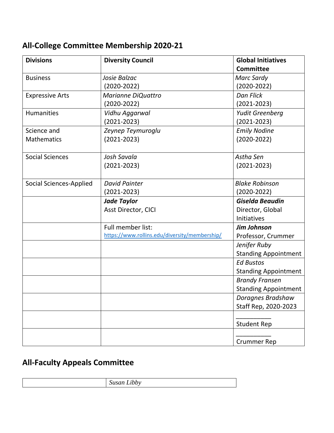## **All-College Committee Membership 2020-21**

| <b>Divisions</b>               | <b>Diversity Council</b>                      | <b>Global Initiatives</b><br><b>Committee</b> |
|--------------------------------|-----------------------------------------------|-----------------------------------------------|
| <b>Business</b>                | Josie Balzac                                  | Marc Sardy                                    |
|                                | $(2020 - 2022)$                               | $(2020 - 2022)$                               |
| <b>Expressive Arts</b>         | Marianne DiQuattro                            | Dan Flick                                     |
|                                | $(2020 - 2022)$                               | $(2021 - 2023)$                               |
| <b>Humanities</b>              | Vidhu Aggarwal                                | Yudit Greenberg                               |
|                                | $(2021 - 2023)$                               | $(2021 - 2023)$                               |
| Science and                    | Zeynep Teymuroglu                             | <b>Emily Nodine</b>                           |
| <b>Mathematics</b>             | $(2021 - 2023)$                               | $(2020 - 2022)$                               |
| <b>Social Sciences</b>         | Josh Savala                                   | Astha Sen                                     |
|                                | $(2021 - 2023)$                               | $(2021 - 2023)$                               |
| <b>Social Sciences-Applied</b> | <b>David Painter</b>                          | <b>Blake Robinson</b>                         |
|                                | $(2021 - 2023)$                               | $(2020 - 2022)$                               |
|                                | <b>Jade Taylor</b>                            | <b>Giselda Beaudin</b>                        |
|                                | Asst Director, CICI                           | Director, Global                              |
|                                |                                               | Initiatives                                   |
|                                | Full member list:                             | <b>Jim Johnson</b>                            |
|                                | https://www.rollins.edu/diversity/membership/ | Professor, Crummer                            |
|                                |                                               | Jenifer Ruby                                  |
|                                |                                               | <b>Standing Appointment</b>                   |
|                                |                                               | <b>Ed Bustos</b>                              |
|                                |                                               | <b>Standing Appointment</b>                   |
|                                |                                               | <b>Brandy Fransen</b>                         |
|                                |                                               | <b>Standing Appointment</b>                   |
|                                |                                               | Doragnes Bradshaw                             |
|                                |                                               | Staff Rep, 2020-2023                          |
|                                |                                               | <b>Student Rep</b>                            |
|                                |                                               |                                               |
|                                |                                               | <b>Crummer Rep</b>                            |

### **All-Faculty Appeals Committee**

*Susan Libby*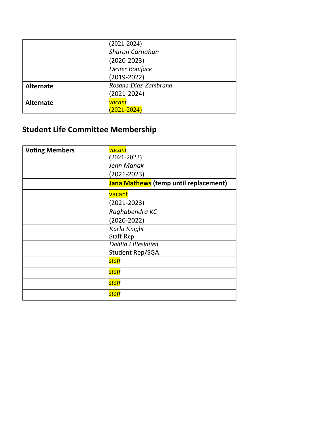|                  | $(2021 - 2024)$        |  |
|------------------|------------------------|--|
|                  | <b>Sharon Carnahan</b> |  |
|                  | $(2020 - 2023)$        |  |
|                  | Dexter Boniface        |  |
|                  | $(2019-2022)$          |  |
| <b>Alternate</b> | Rosana Diaz-Zambrana   |  |
|                  | $(2021 - 2024)$        |  |
| <b>Alternate</b> | <i>vacant</i>          |  |
|                  | $(2021 - 2024)$        |  |

# **Student Life Committee Membership**

| <b>Voting Members</b> | <mark>vacant</mark>                   |
|-----------------------|---------------------------------------|
|                       | $(2021 - 2023)$                       |
|                       | Jenn Manak                            |
|                       | $(2021 - 2023)$                       |
|                       | Jana Mathews (temp until replacement) |
|                       | vacant                                |
|                       | $(2021 - 2023)$                       |
|                       | Raghabendra KC                        |
|                       | $(2020 - 2022)$                       |
|                       | Karla Knight                          |
|                       | <b>Staff Rep</b>                      |
|                       | Dahlia Lilleslatten                   |
|                       | Student Rep/SGA                       |
|                       | staff                                 |
|                       | staff                                 |
|                       | staff                                 |
|                       | staff                                 |